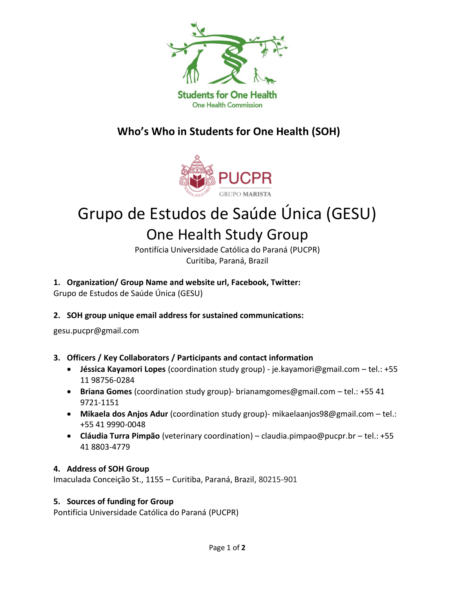

### **Who's Who in Students for One Health (SOH)**



# Grupo de Estudos de Saúde Única (GESU)

## One Health Study Group

Pontifícia Universidade Católica do Paraná (PUCPR) Curitiba, Paraná, Brazil

#### **1. Organization/ Group Name and website url, Facebook, Twitter:**

Grupo de Estudos de Saúde Única (GESU)

#### **2. SOH group unique email address for sustained communications:**

gesu.pucpr@gmail.com

#### **3. Officers / Key Collaborators / Participants and contact information**

- **Jéssica Kayamori Lopes** (coordination study group) [je.kayamori@gmail.com](mailto:je.kayamori@gmail.com) tel.: +55 11 98756-0284
- **Briana Gomes** (coordination study group)- [brianamgomes@gmail.com](mailto:brianamgomes@gmail.com) tel.: +55 41 9721-1151
- **Mikaela dos Anjos Adur** (coordination study group)- [mikaelaanjos98@gmail.com](mailto:mikaelaanjos98@gmail.com) tel.: +55 41 9990-0048
- **Cláudia Turra Pimpão** (veterinary coordination) [claudia.pimpao@pucpr.br](mailto:claudia.pimpao@pucpr.br) tel.: +55 41 8803-4779

#### **4. Address of SOH Group**

Imaculada Conceição St., 1155 – Curitiba, Paraná, Brazil, 80215-901

#### **5. Sources of funding for Group**

Pontifícia Universidade Católica do Paraná (PUCPR)